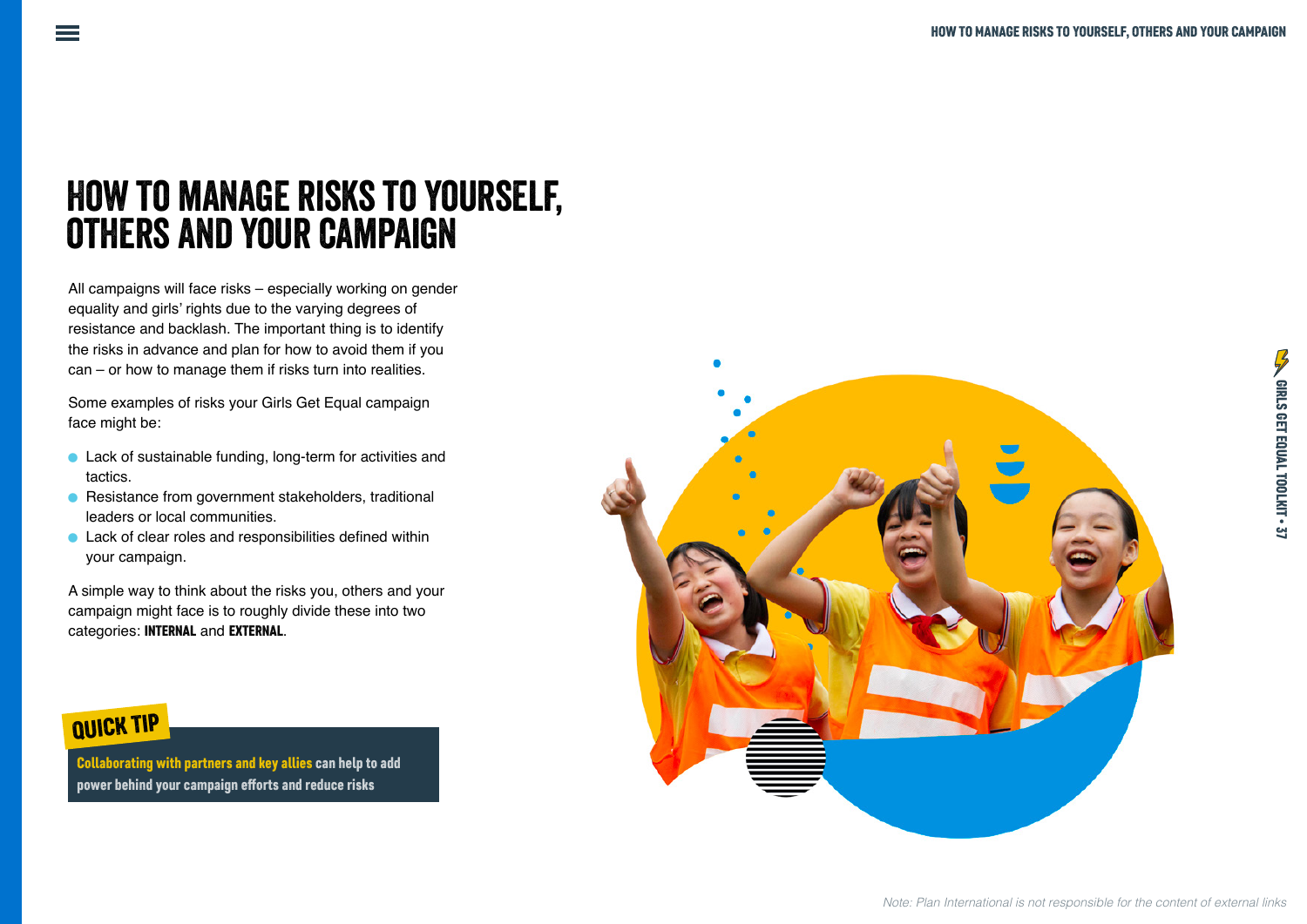# How to manage risks to yourself, others and your campaign

All campaigns will face risks – especially working on gender equality and girls' rights due to the varying degrees of resistance and backlash. The important thing is to identify the risks in advance and plan for how to avoid them if you can – or how to manage them if risks turn into realities.

Some examples of risks your Girls Get Equal campaign face might be:

- ā Lack of sustainable funding, long-term for activities and tactics.
- ā Resistance from government stakeholders, traditional leaders or local communities.
- ā Lack of clear roles and responsibilities defined within your campaign.

A simple way to think about the risks you, others and your campaign might face is to roughly divide these into two categories: INTERNAL and EXTERNAL.



Collaborating with partners and key allies can help to add power behind your campaign efforts and reduce risks